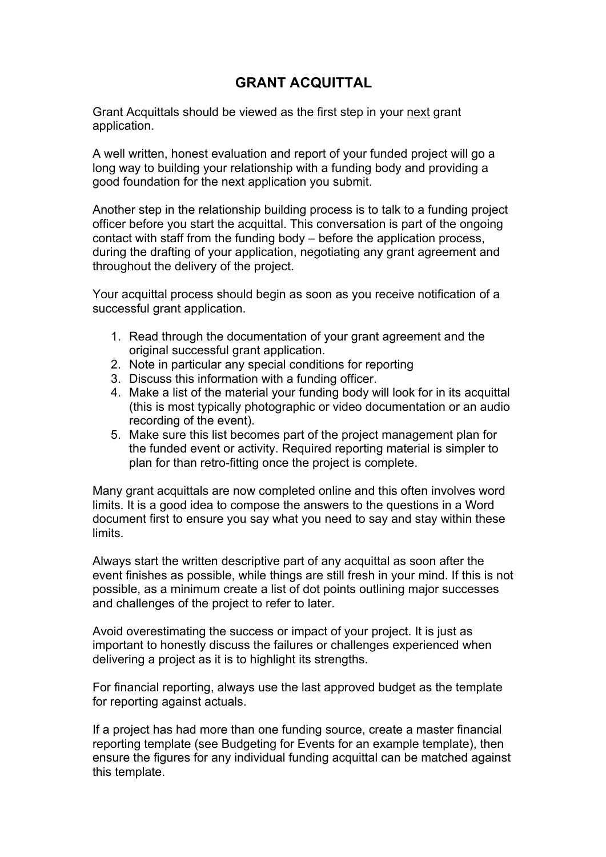## **GRANT ACQUITTAL**

Grant Acquittals should be viewed as the first step in your next grant application.

A well written, honest evaluation and report of your funded project will go a long way to building your relationship with a funding body and providing a good foundation for the next application you submit.

Another step in the relationship building process is to talk to a funding project officer before you start the acquittal. This conversation is part of the ongoing contact with staff from the funding body – before the application process, during the drafting of your application, negotiating any grant agreement and throughout the delivery of the project.

Your acquittal process should begin as soon as you receive notification of a successful grant application.

- 1. Read through the documentation of your grant agreement and the original successful grant application.
- 2. Note in particular any special conditions for reporting
- 3. Discuss this information with a funding officer.
- 4. Make a list of the material your funding body will look for in its acquittal (this is most typically photographic or video documentation or an audio recording of the event).
- 5. Make sure this list becomes part of the project management plan for the funded event or activity. Required reporting material is simpler to plan for than retro-fitting once the project is complete.

Many grant acquittals are now completed online and this often involves word limits. It is a good idea to compose the answers to the questions in a Word document first to ensure you say what you need to say and stay within these **limits** 

Always start the written descriptive part of any acquittal as soon after the event finishes as possible, while things are still fresh in your mind. If this is not possible, as a minimum create a list of dot points outlining major successes and challenges of the project to refer to later.

Avoid overestimating the success or impact of your project. It is just as important to honestly discuss the failures or challenges experienced when delivering a project as it is to highlight its strengths.

For financial reporting, always use the last approved budget as the template for reporting against actuals.

If a project has had more than one funding source, create a master financial reporting template (see Budgeting for Events for an example template), then ensure the figures for any individual funding acquittal can be matched against this template.